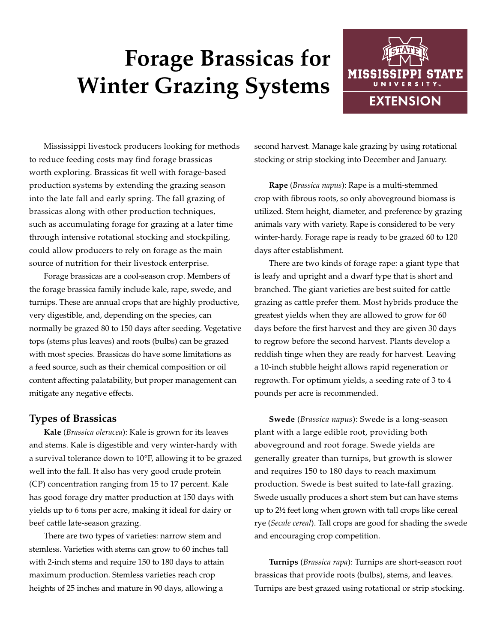# **Forage Brassicas for Winter Grazing Systems**



Mississippi livestock producers looking for methods to reduce feeding costs may find forage brassicas worth exploring. Brassicas fit well with forage-based production systems by extending the grazing season into the late fall and early spring. The fall grazing of brassicas along with other production techniques, such as accumulating forage for grazing at a later time through intensive rotational stocking and stockpiling, could allow producers to rely on forage as the main source of nutrition for their livestock enterprise.

Forage brassicas are a cool-season crop. Members of the forage brassica family include kale, rape, swede, and turnips. These are annual crops that are highly productive, very digestible, and, depending on the species, can normally be grazed 80 to 150 days after seeding. Vegetative tops (stems plus leaves) and roots (bulbs) can be grazed with most species. Brassicas do have some limitations as a feed source, such as their chemical composition or oil content affecting palatability, but proper management can mitigate any negative effects.

# **Types of Brassicas**

**Kale** (*Brassica oleracea*): Kale is grown for its leaves and stems. Kale is digestible and very winter-hardy with a survival tolerance down to 10°F, allowing it to be grazed well into the fall. It also has very good crude protein (CP) concentration ranging from 15 to 17 percent. Kale has good forage dry matter production at 150 days with yields up to 6 tons per acre, making it ideal for dairy or beef cattle late-season grazing.

There are two types of varieties: narrow stem and stemless. Varieties with stems can grow to 60 inches tall with 2-inch stems and require 150 to 180 days to attain maximum production. Stemless varieties reach crop heights of 25 inches and mature in 90 days, allowing a

second harvest. Manage kale grazing by using rotational stocking or strip stocking into December and January.

**Rape** (*Brassica napus*): Rape is a multi-stemmed crop with fibrous roots, so only aboveground biomass is utilized. Stem height, diameter, and preference by grazing animals vary with variety. Rape is considered to be very winter-hardy. Forage rape is ready to be grazed 60 to 120 days after establishment.

There are two kinds of forage rape: a giant type that is leafy and upright and a dwarf type that is short and branched. The giant varieties are best suited for cattle grazing as cattle prefer them. Most hybrids produce the greatest yields when they are allowed to grow for 60 days before the first harvest and they are given 30 days to regrow before the second harvest. Plants develop a reddish tinge when they are ready for harvest. Leaving a 10-inch stubble height allows rapid regeneration or regrowth. For optimum yields, a seeding rate of 3 to 4 pounds per acre is recommended.

**Swede** (*Brassica napus*): Swede is a long-season plant with a large edible root, providing both aboveground and root forage. Swede yields are generally greater than turnips, but growth is slower and requires 150 to 180 days to reach maximum production. Swede is best suited to late-fall grazing. Swede usually produces a short stem but can have stems up to 2½ feet long when grown with tall crops like cereal rye (*Secale cereal*). Tall crops are good for shading the swede and encouraging crop competition.

**Turnips** (*Brassica rapa*): Turnips are short-season root brassicas that provide roots (bulbs), stems, and leaves. Turnips are best grazed using rotational or strip stocking.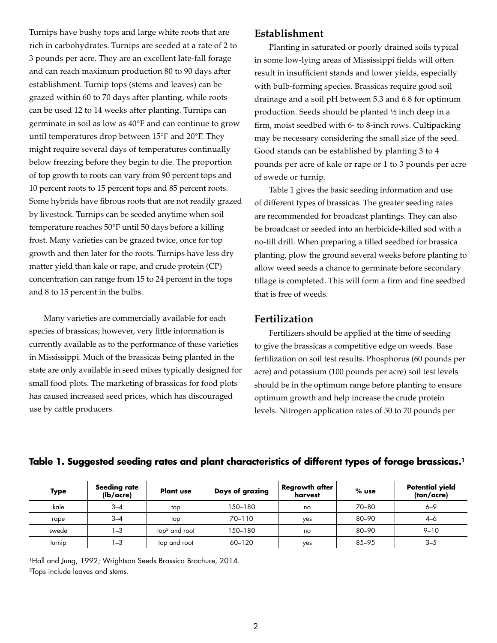Turnips have bushy tops and large white roots that are rich in carbohydrates. Turnips are seeded at a rate of 2 to 3 pounds per acre. They are an excellent late-fall forage and can reach maximum production 80 to 90 days after establishment. Turnip tops (stems and leaves) can be grazed within 60 to 70 days after planting, while roots can be used 12 to 14 weeks after planting. Turnips can germinate in soil as low as 40°F and can continue to grow until temperatures drop between 15°F and 20°F. They might require several days of temperatures continually below freezing before they begin to die. The proportion of top growth to roots can vary from 90 percent tops and 10 percent roots to 15 percent tops and 85 percent roots. Some hybrids have fibrous roots that are not readily grazed by livestock. Turnips can be seeded anytime when soil temperature reaches 50°F until 50 days before a killing frost. Many varieties can be grazed twice, once for top growth and then later for the roots. Turnips have less dry matter yield than kale or rape, and crude protein (CP) concentration can range from 15 to 24 percent in the tops and 8 to 15 percent in the bulbs.

Many varieties are commercially available for each species of brassicas; however, very little information is currently available as to the performance of these varieties in Mississippi. Much of the brassicas being planted in the state are only available in seed mixes typically designed for small food plots. The marketing of brassicas for food plots has caused increased seed prices, which has discouraged use by cattle producers.

## **Establishment**

Planting in saturated or poorly drained soils typical in some low-lying areas of Mississippi fields will often result in insufficient stands and lower yields, especially with bulb-forming species. Brassicas require good soil drainage and a soil pH between 5.3 and 6.8 for optimum production. Seeds should be planted ½ inch deep in a firm, moist seedbed with 6- to 8-inch rows. Cultipacking may be necessary considering the small size of the seed. Good stands can be established by planting 3 to 4 pounds per acre of kale or rape or 1 to 3 pounds per acre of swede or turnip.

Table 1 gives the basic seeding information and use of different types of brassicas. The greater seeding rates are recommended for broadcast plantings. They can also be broadcast or seeded into an herbicide-killed sod with a no-till drill. When preparing a tilled seedbed for brassica planting, plow the ground several weeks before planting to allow weed seeds a chance to germinate before secondary tillage is completed. This will form a firm and fine seedbed that is free of weeds.

#### **Fertilization**

Fertilizers should be applied at the time of seeding to give the brassicas a competitive edge on weeds. Base fertilization on soil test results. Phosphorus (60 pounds per acre) and potassium (100 pounds per acre) soil test levels should be in the optimum range before planting to ensure optimum growth and help increase the crude protein levels. Nitrogen application rates of 50 to 70 pounds per

| <b>Type</b> | Seeding rate<br>(lb/acre) | <b>Plant use</b> | Days of grazing | <b>Regrowth after</b><br>harvest | $%$ use | <b>Potential yield</b><br>(ton/acre) |
|-------------|---------------------------|------------------|-----------------|----------------------------------|---------|--------------------------------------|
| kale        | $3 - 4$                   | top              | 150–180         | no                               | 70-80   | $6 - 9$                              |
| rape        | $3 - 4$                   | top              | 70-110          | ves                              | 80-90   | $4 - 6$                              |
| swede       | $-3$                      | $top2$ and root  | 150–180         | no                               | 80-90   | $9 - 10$                             |
| turnip      | ı –3                      | top and root     | 60-120          | yes                              | 85-95   | $3 - 5$                              |

#### **Table 1. Suggested seeding rates and plant characteristics of different types of forage brassicas.1**

1Hall and Jung, 1992; Wrightson Seeds Brassica Brochure, 2014. 2Tops include leaves and stems.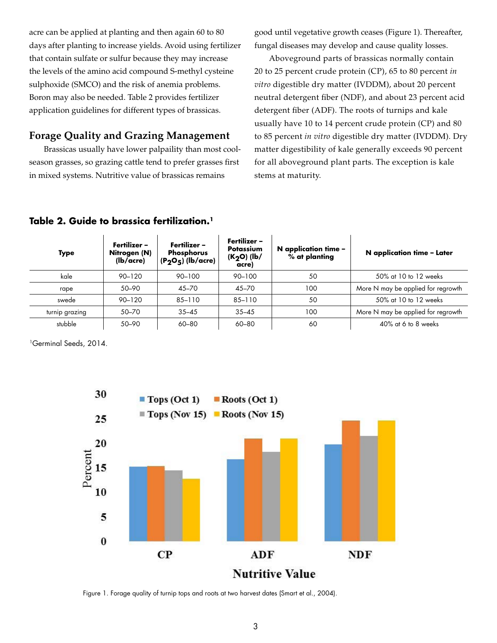acre can be applied at planting and then again 60 to 80 days after planting to increase yields. Avoid using fertilizer that contain sulfate or sulfur because they may increase the levels of the amino acid compound S-methyl cysteine sulphoxide (SMCO) and the risk of anemia problems. Boron may also be needed. Table 2 provides fertilizer application guidelines for different types of brassicas.

# **Forage Quality and Grazing Management**

Brassicas usually have lower palpaility than most coolseason grasses, so grazing cattle tend to prefer grasses first in mixed systems. Nutritive value of brassicas remains

good until vegetative growth ceases (Figure 1). Thereafter, fungal diseases may develop and cause quality losses.

Aboveground parts of brassicas normally contain 20 to 25 percent crude protein (CP), 65 to 80 percent *in vitro* digestible dry matter (IVDDM), about 20 percent neutral detergent fiber (NDF), and about 23 percent acid detergent fiber (ADF). The roots of turnips and kale usually have 10 to 14 percent crude protein (CP) and 80 to 85 percent *in vitro* digestible dry matter (IVDDM). Dry matter digestibility of kale generally exceeds 90 percent for all aboveground plant parts. The exception is kale stems at maturity.

| <b>Type</b>    | Fertilizer –<br>Nitrogen (N)<br>$(lb/acre)$ | Fertilizer -<br><b>Phosphorus</b><br>$(P_2O_5)$ (lb/acre) | Fertilizer –<br>Potassium<br>$(K_2O)$ (lb/<br>acre) | $N$ application time –<br>% at planting | N application time - Later         |
|----------------|---------------------------------------------|-----------------------------------------------------------|-----------------------------------------------------|-----------------------------------------|------------------------------------|
| kale           | $90 - 120$                                  | 90-100                                                    | 90-100                                              | 50                                      | 50% at 10 to 12 weeks              |
| rape           | 50-90                                       | 45-70                                                     | $45 - 70$                                           | 100                                     | More N may be applied for regrowth |
| swede          | $90 - 120$                                  | 85-110                                                    | 85-110                                              | 50                                      | 50% at 10 to 12 weeks              |
| turnip grazing | 50–70                                       | $35 - 45$                                                 | $35 - 45$                                           | 100                                     | More N may be applied for regrowth |
| stubble        | 50-90                                       | 60-80                                                     | 60-80                                               | 60                                      | $40\%$ at 6 to 8 weeks             |

## **Table 2. Guide to brassica fertilization.1**

1Germinal Seeds, 2014.



Figure 1. Forage quality of turnip tops and roots at two harvest dates (Smart et al., 2004).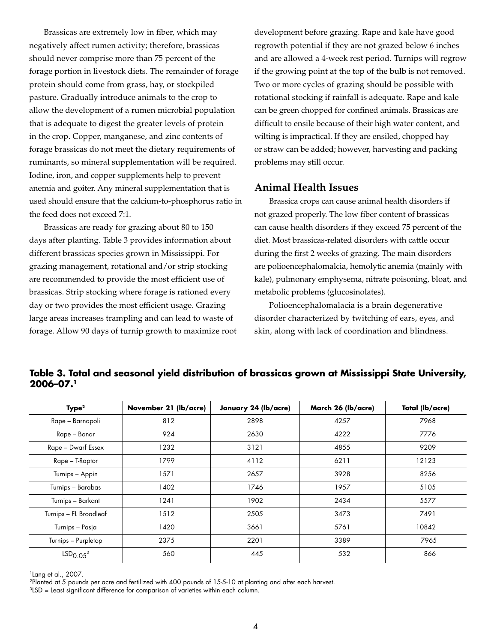Brassicas are extremely low in fiber, which may negatively affect rumen activity; therefore, brassicas should never comprise more than 75 percent of the forage portion in livestock diets. The remainder of forage protein should come from grass, hay, or stockpiled pasture. Gradually introduce animals to the crop to allow the development of a rumen microbial population that is adequate to digest the greater levels of protein in the crop. Copper, manganese, and zinc contents of forage brassicas do not meet the dietary requirements of ruminants, so mineral supplementation will be required. Iodine, iron, and copper supplements help to prevent anemia and goiter. Any mineral supplementation that is used should ensure that the calcium-to-phosphorus ratio in the feed does not exceed 7:1.

Brassicas are ready for grazing about 80 to 150 days after planting. Table 3 provides information about different brassicas species grown in Mississippi. For grazing management, rotational and/or strip stocking are recommended to provide the most efficient use of brassicas. Strip stocking where forage is rationed every day or two provides the most efficient usage. Grazing large areas increases trampling and can lead to waste of forage. Allow 90 days of turnip growth to maximize root development before grazing. Rape and kale have good regrowth potential if they are not grazed below 6 inches and are allowed a 4-week rest period. Turnips will regrow if the growing point at the top of the bulb is not removed. Two or more cycles of grazing should be possible with rotational stocking if rainfall is adequate. Rape and kale can be green chopped for confined animals. Brassicas are difficult to ensile because of their high water content, and wilting is impractical. If they are ensiled, chopped hay or straw can be added; however, harvesting and packing problems may still occur.

## **Animal Health Issues**

Brassica crops can cause animal health disorders if not grazed properly. The low fiber content of brassicas can cause health disorders if they exceed 75 percent of the diet. Most brassicas-related disorders with cattle occur during the first 2 weeks of grazing. The main disorders are polioencephalomalcia, hemolytic anemia (mainly with kale), pulmonary emphysema, nitrate poisoning, bloat, and metabolic problems (glucosinolates).

Polioencephalomalacia is a brain degenerative disorder characterized by twitching of ears, eyes, and skin, along with lack of coordination and blindness.

| Type <sup>2</sup>                | November 21 (lb/acre) | January 24 (lb/acre) | March 26 (lb/acre) | Total (lb/acre) |
|----------------------------------|-----------------------|----------------------|--------------------|-----------------|
| Rape - Barnapoli                 | 812                   | 2898                 | 4257               | 7968            |
| Rape - Bonar                     | 924                   | 2630                 | 4222               | 7776            |
| Rape - Dwarf Essex               | 1232                  | 3121                 | 4855               | 9209            |
| Rape – T-Raptor                  | 1799                  | 4112                 | 6211               | 12123           |
| Turnips - Appin                  | 1571                  | 2657                 | 3928               | 8256            |
| Turnips - Barabas                | 1402                  | 1746                 | 1957               | 5105            |
| Turnips - Barkant                | 1241                  | 1902                 | 2434               | 5577            |
| Turnips - FL Broadleaf           | 1512                  | 2505                 | 3473               | 7491            |
| Turnips - Pasja                  | 1420                  | 3661                 | 5761               | 10842           |
| Turnips – Purpletop              | 2375                  | 2201                 | 3389               | 7965            |
| LSD <sub>0.05</sub> <sup>3</sup> | 560                   | 445                  | 532                | 866             |

## **Table 3. Total and seasonal yield distribution of brassicas grown at Mississippi State University, 2006–07.1**

1Lang et al., 2007.

2Planted at 5 pounds per acre and fertilized with 400 pounds of 15-5-10 at planting and after each harvest.

3LSD = Least significant difference for comparison of varieties within each column.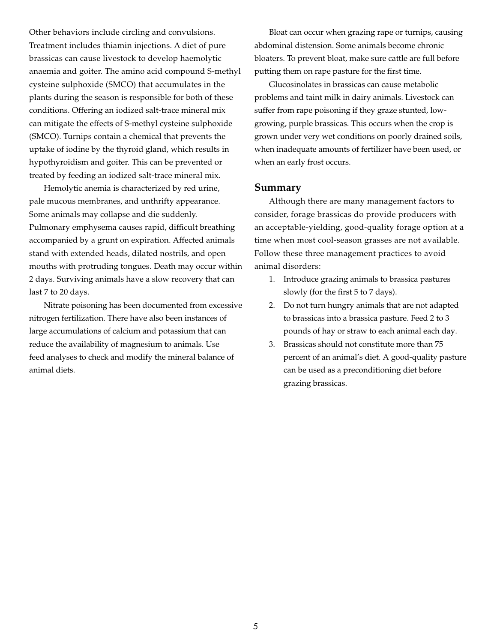Other behaviors include circling and convulsions. Treatment includes thiamin injections. A diet of pure brassicas can cause livestock to develop haemolytic anaemia and goiter. The amino acid compound S-methyl cysteine sulphoxide (SMCO) that accumulates in the plants during the season is responsible for both of these conditions. Offering an iodized salt-trace mineral mix can mitigate the effects of S-methyl cysteine sulphoxide (SMCO). Turnips contain a chemical that prevents the uptake of iodine by the thyroid gland, which results in hypothyroidism and goiter. This can be prevented or treated by feeding an iodized salt-trace mineral mix.

Hemolytic anemia is characterized by red urine, pale mucous membranes, and unthrifty appearance. Some animals may collapse and die suddenly. Pulmonary emphysema causes rapid, difficult breathing accompanied by a grunt on expiration. Affected animals stand with extended heads, dilated nostrils, and open mouths with protruding tongues. Death may occur within 2 days. Surviving animals have a slow recovery that can last 7 to 20 days.

Nitrate poisoning has been documented from excessive nitrogen fertilization. There have also been instances of large accumulations of calcium and potassium that can reduce the availability of magnesium to animals. Use feed analyses to check and modify the mineral balance of animal diets.

Bloat can occur when grazing rape or turnips, causing abdominal distension. Some animals become chronic bloaters. To prevent bloat, make sure cattle are full before putting them on rape pasture for the first time.

Glucosinolates in brassicas can cause metabolic problems and taint milk in dairy animals. Livestock can suffer from rape poisoning if they graze stunted, lowgrowing, purple brassicas. This occurs when the crop is grown under very wet conditions on poorly drained soils, when inadequate amounts of fertilizer have been used, or when an early frost occurs.

#### **Summary**

Although there are many management factors to consider, forage brassicas do provide producers with an acceptable-yielding, good-quality forage option at a time when most cool-season grasses are not available. Follow these three management practices to avoid animal disorders:

- 1. Introduce grazing animals to brassica pastures slowly (for the first 5 to 7 days).
- 2. Do not turn hungry animals that are not adapted to brassicas into a brassica pasture. Feed 2 to 3 pounds of hay or straw to each animal each day.
- 3. Brassicas should not constitute more than 75 percent of an animal's diet. A good-quality pasture can be used as a preconditioning diet before grazing brassicas.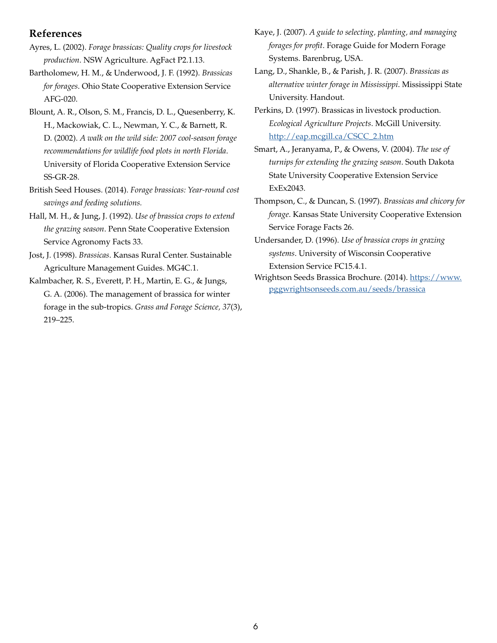## **References**

- Ayres, L. (2002). *Forage brassicas: Quality crops for livestock production*. NSW Agriculture. AgFact P2.1.13.
- Bartholomew, H. M., & Underwood, J. F. (1992). *Brassicas for forages*. Ohio State Cooperative Extension Service AFG-020.
- Blount, A. R., Olson, S. M., Francis, D. L., Quesenberry, K. H., Mackowiak, C. L., Newman, Y. C., & Barnett, R. D. (2002). *A walk on the wild side: 2007 cool-season forage recommendations for wildlife food plots in north Florida*. University of Florida Cooperative Extension Service SS-GR-28.
- British Seed Houses. (2014). *Forage brassicas: Year-round cost savings and feeding solutions.*
- Hall, M. H., & Jung, J. (1992). *Use of brassica crops to extend the grazing season*. Penn State Cooperative Extension Service Agronomy Facts 33.
- Jost, J. (1998). *Brassicas*. Kansas Rural Center. Sustainable Agriculture Management Guides. MG4C.1.
- Kalmbacher, R. S., Everett, P. H., Martin, E. G., & Jungs, G. A. (2006). The management of brassica for winter forage in the sub-tropics. *Grass and Forage Science, 37*(3), 219–225.
- Kaye, J. (2007). *A guide to selecting, planting, and managing forages for profit*. Forage Guide for Modern Forage Systems. Barenbrug, USA.
- Lang, D., Shankle, B., & Parish, J. R. (2007). *Brassicas as alternative winter forage in Mississippi*. Mississippi State University. Handout.
- Perkins, D. (1997). Brassicas in livestock production. *Ecological Agriculture Projects*. McGill University. [http://eap.mcgill.ca/CSCC\\_2.htm](http://eap.mcgill.ca/CSCC_2.htm)
- Smart, A., Jeranyama, P., & Owens, V. (2004). *The use of turnips for extending the grazing season*. South Dakota State University Cooperative Extension Service ExEx2043.
- Thompson, C., & Duncan, S. (1997). *Brassicas and chicory for forage*. Kansas State University Cooperative Extension Service Forage Facts 26.
- Undersander, D. (1996). *Use of brassica crops in grazing systems*. University of Wisconsin Cooperative Extension Service FC15.4.1.
- Wrightson Seeds Brassica Brochure. (2014). [https://www.](https://www.pggwrightsonseeds.com.au/seeds/brassica) [pggwrightsonseeds.com.au/seeds/brassica](https://www.pggwrightsonseeds.com.au/seeds/brassica)